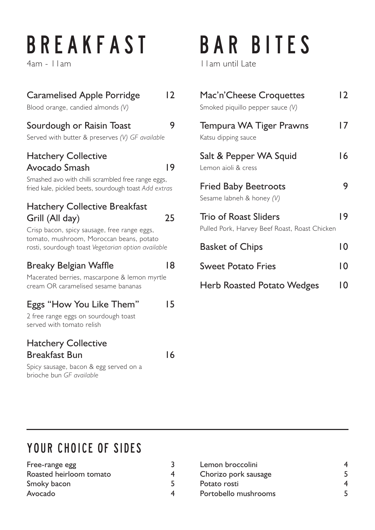## **B R E A K F A S T**

4am - 11am

#### Caramelised Apple Porridge 12 Blood orange, candied almonds *(V)*

#### Sourdough or Raisin Toast 9

Served with butter & preserves *(V) GF available*

#### Hatchery Collective Avocado Smash 19

Smashed avo with chilli scrambled free range eggs, fried kale, pickled beets, sourdough toast *Add extras*

#### Hatchery Collective Breakfast Grill (All day) 25

Crisp bacon, spicy sausage, free range eggs, tomato, mushroom, Moroccan beans, potato rosti, sourdough toast *Vegetarian option available* 

#### Breaky Belgian Waffle 18

Macerated berries, mascarpone & lemon myrtle cream OR caramelised sesame bananas

#### Eggs "How You Like Them" 15

2 free range eggs on sourdough toast served with tomato relish

#### Hatchery Collective Breakfast Bun 16

Spicy sausage, bacon & egg served on a brioche bun *GF available*

## BAR BITES

11am until Late

| Mac'n'Cheese Croquettes<br>Smoked piquillo pepper sauce (V)                   | 12 |
|-------------------------------------------------------------------------------|----|
| <b>Tempura WA Tiger Prawns</b><br>Katsu dipping sauce                         | 17 |
| Salt & Pepper WA Squid<br>Lemon aioli & cress                                 | 16 |
| <b>Fried Baby Beetroots</b><br>Sesame labneh & honey (V)                      |    |
| <b>Trio of Roast Sliders</b><br>Pulled Pork, Harvey Beef Roast, Roast Chicken | 19 |
| <b>Basket of Chips</b>                                                        | 10 |
| <b>Sweet Potato Fries</b>                                                     | 10 |
| <b>Herb Roasted Potato Wedges</b>                                             | IΩ |

### YOUR CHOICE OF SIDES

| Free-range egg          |  |
|-------------------------|--|
| Roasted heirloom tomato |  |
| Smoky bacon             |  |
| Avocado                 |  |

| Lemon broccolini     |  |
|----------------------|--|
| Chorizo pork sausage |  |
| Potato rosti         |  |
| Portobello mushrooms |  |
|                      |  |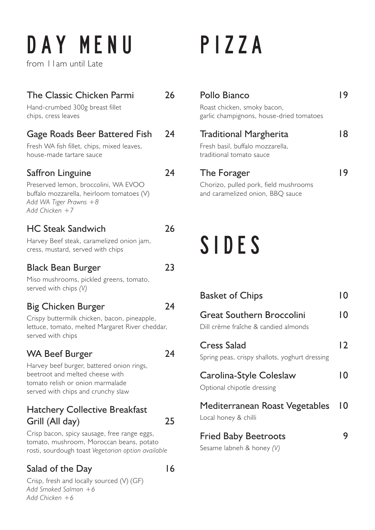# DAY MENU

from 11am until Late

#### The Classic Chicken Parmi 26

Hand-crumbed 300g breast fillet chips, cress leaves

#### Gage Roads Beer Battered Fish 24

Fresh WA fish fillet, chips, mixed leaves, house-made tartare sauce

#### Saffron Linguine 24

Preserved lemon, broccolini, WA EVOO buffalo mozzarella, heirloom tomatoes (V)

*Add Chicken +7*

*Add WA Tiger Prawns +8*

#### HC Steak Sandwich 26

Harvey Beef steak, caramelized onion jam, cress, mustard, served with chips

#### Black Bean Burger 23

Miso mushrooms, pickled greens, tomato, served with chips *(V)*

#### Big Chicken Burger 24

Crispy buttermilk chicken, bacon, pineapple, lettuce, tomato, melted Margaret River cheddar, served with chips

#### WA Beef Burger 24

Harvey beef burger, battered onion rings, beetroot and melted cheese with tomato relish or onion marmalade served with chips and crunchy slaw

#### Hatchery Collective Breakfast Grill (All day) 25

Crisp bacon, spicy sausage, free range eggs, tomato, mushroom, Moroccan beans, potato rosti, sourdough toast *Vegetarian option available* 

#### Salad of the Day 16

Crisp, fresh and locally sourced (V) (GF) *Add Smoked Salmon +6 Add Chicken +6*

## PIZZA

| <b>Pollo Bianco</b><br>Roast chicken, smoky bacon,<br>garlic champignons, house-dried tomatoes |    |
|------------------------------------------------------------------------------------------------|----|
| <b>Traditional Margherita</b><br>Fresh basil, buffalo mozzarella,<br>traditional tomato sauce  | 18 |
| The Forager<br>Chorizo, pulled pork, field mushrooms<br>and caramelized onion, BBQ sauce       |    |

### SIDES

| <b>Basket of Chips</b>                                                   | 10 |
|--------------------------------------------------------------------------|----|
| <b>Great Southern Broccolini</b><br>Dill crème fraîche & candied almonds | 10 |
| <b>Cress Salad</b><br>Spring peas, crispy shallots, yoghurt dressing     | 2  |
| Carolina-Style Coleslaw<br>Optional chipotle dressing                    | 10 |
| Mediterranean Roast Vegetables<br>Local honey & chilli                   | 10 |
| <b>Fried Baby Beetroots</b><br>Sesame labneh & honey (V)                 |    |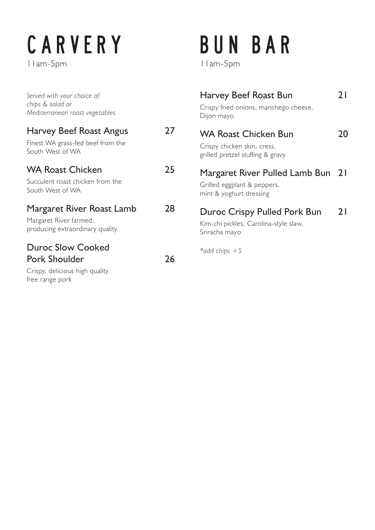## CARVERY

11am-5pm

| Served with your choice of:<br>chips & salad or<br>Mediterranean roast vegetables                     |    | Harvey Beef Roast Bun<br>Crispy fried onions, manchego cheese,<br>Dijon mayo                   | 21  |
|-------------------------------------------------------------------------------------------------------|----|------------------------------------------------------------------------------------------------|-----|
| <b>Harvey Beef Roast Angus</b><br>Finest WA grass-fed beef from the<br>South West of WA               | 27 | <b>WA Roast Chicken Bun</b><br>Crispy chicken skin, cress,<br>grilled pretzel stuffing & gravy | 20. |
| <b>WA Roast Chicken</b><br>Succulent roast chicken from the<br>South West of WA                       | 25 | Margaret River Pulled Lamb Bun 21<br>Grilled eggplant & peppers,<br>mint & yoghurt dressing    |     |
| Margaret River Roast Lamb<br>Margaret River farmed,<br>producing extraordinary quality                | 28 | Duroc Crispy Pulled Pork Bun<br>Kim-chi pickles, Carolina-style slaw,<br>Sriracha mayo         | 21  |
| <b>Duroc Slow Cooked</b><br><b>Pork Shoulder</b><br>Crispy, delicious high quality<br>free range pork | 26 | *add chips $+5$                                                                                |     |

BUN BAR

11am-5pm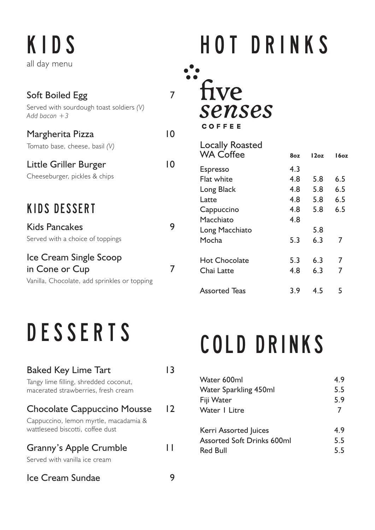K I D S all day menu

| <b>Soft Boiled Egg</b><br>Served with sourdough toast soldiers (V)<br>Add bacon +3       |    |  |
|------------------------------------------------------------------------------------------|----|--|
| Margherita Pizza<br>Tomato base, cheese, basil (V)                                       | 10 |  |
| Little Griller Burger<br>Cheeseburger, pickles & chips                                   | 10 |  |
| KIDS DESSERT<br><b>Kids Pancakes</b><br>Served with a choice of toppings                 | 9  |  |
| Ice Cream Single Scoop<br>in Cone or Cup<br>Vanilla, Chocolate, add sprinkles or topping |    |  |

### DESSERTS

| <b>Baked Key Lime Tart</b>                                                   |    |
|------------------------------------------------------------------------------|----|
| Tangy lime filling, shredded coconut,<br>macerated strawberries, fresh cream |    |
| <b>Chocolate Cappuccino Mousse</b>                                           | 12 |
| Cappuccino, lemon myrtle, macadamia &<br>wattleseed biscotti, coffee dust    |    |
| <b>Granny's Apple Crumble</b>                                                |    |
| Served with vanilla ice cream                                                |    |
| Ice Cream Sundae                                                             |    |

## H O T D R I N K S

 $\ddot{\bullet}$ five senses COFFEE

| <b>Locally Roasted</b><br><b>WA Coffee</b> | 807 | 12oz | ة1607 |
|--------------------------------------------|-----|------|-------|
| <b>Espresso</b>                            | 4.3 |      |       |
| Flat white                                 | 4.8 | 5.8  | 6.5   |
| Long Black                                 | 4.8 | 5.8  | 6.5   |
| l atte                                     | 4.8 | 5.8  | 6.5   |
| Cappuccino                                 | 4.8 | 5.8  | 6.5   |
| Macchiato                                  | 4.8 |      |       |
| Long Macchiato                             |     | 5.8  |       |
| Mocha                                      | 5.3 | 6.3  | 7     |
| Hot Chocolate                              | 5.3 | 6.3  | 7     |
| Chai Latte                                 | 4.8 | 6.3  | 7     |
| Assorted Teas                              | 3.9 | 4.5  | 5     |

### COLD DRINKS

| Water 600ml                       | 4.9 |
|-----------------------------------|-----|
| Water Sparkling 450ml             | 5.5 |
| Fiji Water                        | 5.9 |
| Water   Litre                     | 7   |
| Kerri Assorted Juices             | 4.9 |
| <b>Assorted Soft Drinks 600ml</b> | 5.5 |
| <b>Red Bull</b>                   | 5.5 |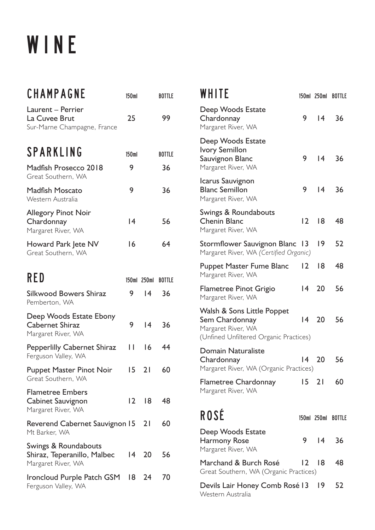### W I N E

| CHAMPAGNE                                                                 | 150ml            |                 | <b>BOTTLE</b> |
|---------------------------------------------------------------------------|------------------|-----------------|---------------|
| Laurent - Perrier<br>La Cuvee Brut<br>Sur-Marne Champagne, France         | 25               |                 | 99            |
| <b>SPARKLING</b>                                                          | 150 <sub>m</sub> |                 | <b>BOTTLE</b> |
| Madfish Prosecco 2018<br>Great Southern, WA                               | 9                |                 | 36            |
| <b>Madfish Moscato</b><br>Western Australia                               | 9                |                 | 36            |
| <b>Allegory Pinot Noir</b><br>Chardonnay<br>Margaret River, WA            | 4                |                 | 56            |
| Howard Park Jete NV<br>Great Southern, WA                                 | 16               |                 | 64            |
| RED                                                                       |                  | 150ml 250ml     | <b>BOTTLE</b> |
| Silkwood Bowers Shiraz<br>Pemberton, WA                                   | 9                | $\overline{14}$ | 36            |
| Deep Woods Estate Ebony<br><b>Cabernet Shiraz</b><br>Margaret River, WA   | 9                | 4               | 36            |
| <b>Pepperlilly Cabernet Shiraz</b><br>Ferguson Valley, WA                 | Н                | 16              | 44            |
| <b>Puppet Master Pinot Noir</b><br>Great Southern, WA                     | 15 <sub>1</sub>  | 21              | 60            |
| <b>Flametree Embers</b><br><b>Cabinet Sauvignon</b><br>Margaret River, WA | $\overline{2}$   | 8               | 48            |
| Reverend Cabernet Sauvignon 15<br>Mt Barker, WA                           |                  | 21              | 60            |
| Swings & Roundabouts<br>Shiraz, Teperanillo, Malbec<br>Margaret River, WA | 14               | 20              | 56            |
| Ironcloud Purple Patch GSM 18<br>Ferguson Valley, WA                      |                  | 24              | 70            |

| WHITE                                                                                                        |                 |                 | 150ml 250ml BOTTLE |
|--------------------------------------------------------------------------------------------------------------|-----------------|-----------------|--------------------|
| Deep Woods Estate<br>Chardonnay<br>Margaret River, WA                                                        | 9               | $ 4\rangle$     | 36                 |
| Deep Woods Estate<br><b>Ivory Semillon</b><br>Sauvignon Blanc<br>Margaret River, WA                          | 9               | $ 4\rangle$     | 36                 |
| Icarus Sauvignon<br><b>Blanc Semillon</b><br>Margaret River, WA                                              | 9               | 4               | 36                 |
| Swings & Roundabouts<br><b>Chenin Blanc</b><br>Margaret River, WA                                            | $\overline{2}$  | 18              | 48                 |
| Stormflower Sauvignon Blanc<br>Margaret River, WA (Certified Organic)                                        | 13              | 19              | 52                 |
| <b>Puppet Master Fume Blanc</b><br>Margaret River, WA                                                        | 12              | 18              | 48                 |
| <b>Flametree Pinot Grigio</b><br>Margaret River, WA                                                          | $\overline{14}$ | 20              | 56                 |
| Walsh & Sons Little Poppet<br>Sem Chardonnay<br>Margaret River, WA<br>(Unfined Unfiltered Organic Practices) | $\overline{14}$ | 20 <sup>°</sup> | 56                 |
| <b>Domain Naturaliste</b><br>Chardonnay<br>Margaret River, WA (Organic Practices)                            | $\overline{14}$ | 20              | 56                 |
| <b>Flametree Chardonnay</b><br>Margaret River, WA                                                            |                 | 15 21 60        |                    |
| <b>ROSÉ</b>                                                                                                  |                 |                 | 150ml 250ml BOTTLE |
| Deep Woods Estate<br>Harmony Rose<br>Margaret River, WA                                                      | 9.              | $\vert 4 \vert$ | 36                 |
| Marchand & Burch Rosé<br>Great Southern, WA (Organic Practices)                                              | 12              | 18              | 48                 |
| Devils Lair Honey Comb Rosé 13 19<br>Western Australia                                                       |                 |                 | 52                 |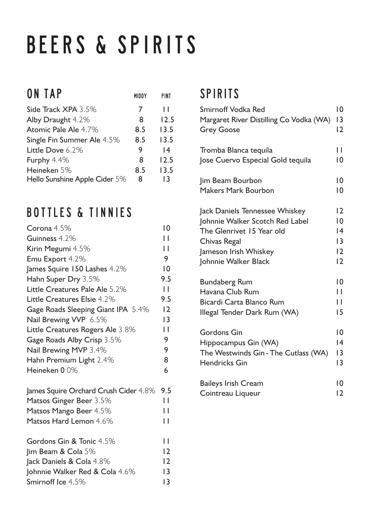### BEERS & SPIRITS

| MIDDY | <b>PINT</b> |
|-------|-------------|
| 7     | ш           |
| 8     | 12.5        |
| 8.5   | 13.5        |
| 8.5   | 13.5        |
| 9     | 14          |
| 8     | 12.5        |
| 8.5   | 13.5        |
| 8     | 13          |
|       |             |

### BOTTLES & TINNIES

| Corona 4.5%                           | $\overline{0}$ |
|---------------------------------------|----------------|
| Guinness 4.2%                         | П              |
| Kirin Megumi 4.5%                     | П              |
| Emu Export 4.2%                       | 9              |
| James Squire 150 Lashes 4.2%          | $\overline{0}$ |
| Hahn Super Dry 3.5%                   | 9.5            |
| Little Creatures Pale Ale 5.2%        | П              |
| Little Creatures Elsie 4.2%           | 9.5            |
| Gage Roads Sleeping Giant IPA 5.4%    | 12             |
| Nail Brewing VVP 6.5%                 | 3              |
| Little Creatures Rogers Ale 3.8%      | П              |
| Gage Roads Alby Crisp 3.5%            | 9              |
| Nail Brewing MVP 3.4%                 | 9              |
| Hahn Premium Light 2.4%               | 8              |
| Heineken 00%                          | 6              |
| James Squire Orchard Crush Cider 4.8% | 9.5            |
| Matsos Ginger Beer 3.5%               | П              |
| Matsos Mango Beer 4.5%                | П              |
| Matsos Hard Lemon 4.6%                | П              |
| Gordons Gin & Tonic 4.5%              | П              |
| $\lim$ Beam & Cola 5%                 | 12             |
| Jack Daniels & Cola 4.8%              | 12             |
| Johnnie Walker Red & Cola 4.6%        | 13             |
| Smirnoff Ice 4.5%                     | 13             |

#### SPIRITS

| <b>Smirnoff Vodka Red</b>               | 10             |
|-----------------------------------------|----------------|
| Margaret River Distilling Co Vodka (WA) | 3              |
| <b>Grey Goose</b>                       | $ 2\rangle$    |
| Tromba Blanca tequila                   | П              |
| Jose Cuervo Especial Gold tequila       | 10             |
| Jim Beam Bourbon                        | $\overline{0}$ |
| <b>Makers Mark Bourbon</b>              | $\overline{0}$ |
| Jack Daniels Tennessee Whiskey          | $\overline{2}$ |
| Johnnie Walker Scotch Red Label         | 10             |
| The Glenrivet 15 Year old               | 14             |
| Chivas Regal                            | 13             |
| Jameson Irish Whiskey                   | 12             |
| Johnnie Walker Black                    | $\overline{2}$ |
| <b>Bundaberg Rum</b>                    | 10             |
| Havana Club Rum                         | H              |
| Bicardi Carta Blanco Rum                | H              |
| Illegal Tender Dark Rum (WA)            | 15             |
| <b>Gordons Gin</b>                      | 10             |
| Hippocampus Gin (WA)                    | 14             |
| The Westwinds Gin - The Cutlass (WA)    | $\overline{3}$ |
| <b>Hendricks Gin</b>                    | $\overline{3}$ |
| <b>Baileys Irish Cream</b>              | 10             |
| Cointreau Liqueur                       | 2              |